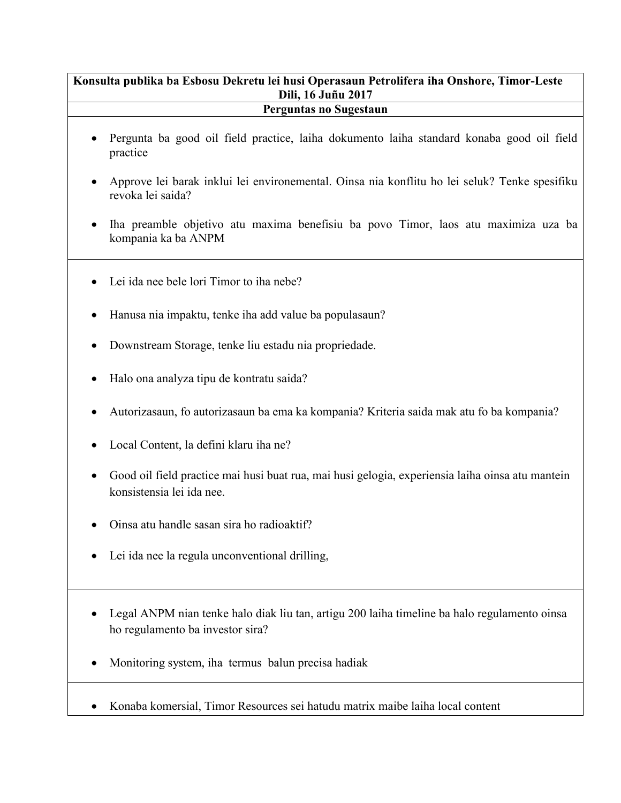## **Konsulta publika ba Esbosu Dekretu lei husi Operasaun Petrolifera iha Onshore, Timor-Leste Dili, 16 Juñu 2017**

## **Perguntas no Sugestaun**

- Pergunta ba good oil field practice, laiha dokumento laiha standard konaba good oil field practice
- Approve lei barak inklui lei environemental. Oinsa nia konflitu ho lei seluk? Tenke spesifiku revoka lei saida?
- Iha preamble objetivo atu maxima benefisiu ba povo Timor, laos atu maximiza uza ba kompania ka ba ANPM
- Lei ida nee bele lori Timor to iha nebe?
- Hanusa nia impaktu, tenke iha add value ba populasaun?
- Downstream Storage, tenke liu estadu nia propriedade.
- Halo ona analyza tipu de kontratu saida?
- Autorizasaun, fo autorizasaun ba ema ka kompania? Kriteria saida mak atu fo ba kompania?
- Local Content, la defini klaru iha ne?
- Good oil field practice mai husi buat rua, mai husi gelogia, experiensia laiha oinsa atu mantein konsistensia lei ida nee.
- Oinsa atu handle sasan sira ho radioaktif?
- Lei ida nee la regula unconventional drilling,
- Legal ANPM nian tenke halo diak liu tan, artigu 200 laiha timeline ba halo regulamento oinsa ho regulamento ba investor sira?
- Monitoring system, iha termus balun precisa hadiak
- Konaba komersial, Timor Resources sei hatudu matrix maibe laiha local content